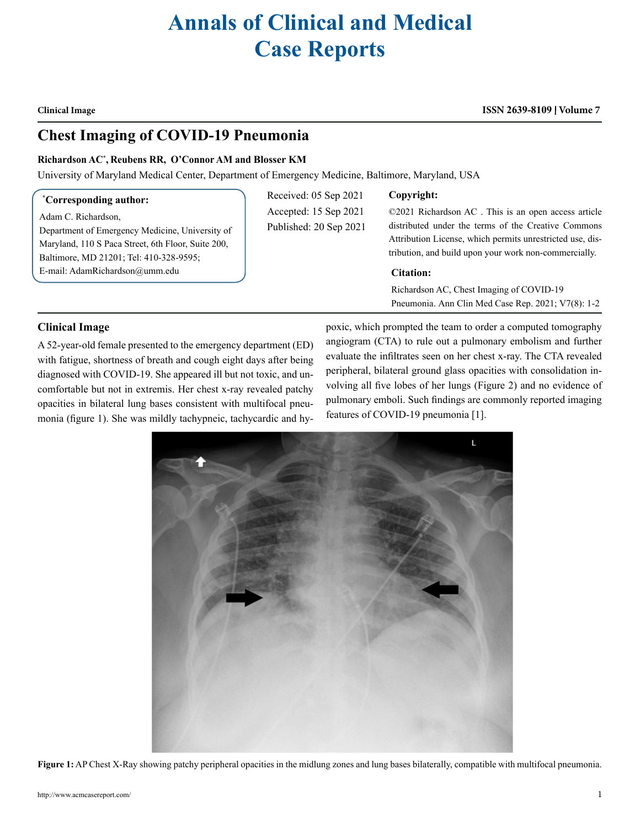# **Annals of Clinical and Medical Case Reports**

**Clinical Image**

#### **ISSN 2639-8109 Volume 7**

## **Chest Imaging of COVID-19 Pneumonia**

#### **Richardson AC\* , Reubens RR, O'Connor AM and Blosser KM**

University of Maryland Medical Center, Department of Emergency Medicine, Baltimore, Maryland, USA

#### **\* Corresponding author:**

Adam C. Richardson,

Department of Emergency Medicine, University of Maryland, 110 S Paca Street, 6th Floor, Suite 200, Baltimore, MD 21201; Tel: 410-328-9595; E-mail: AdamRichardson@umm.edu

Received: 05 Sep 2021 Accepted: 15 Sep 2021 Published: 20 Sep 2021

#### **Copyright:**

©2021 Richardson AC . This is an open access article distributed under the terms of the Creative Commons Attribution License, which permits unrestricted use, distribution, and build upon your work non-commercially.

#### **Citation:**

Richardson AC, Chest Imaging of COVID-19 Pneumonia. Ann Clin Med Case Rep. 2021; V7(8): 1-2

### **Clinical Image**

A 52-year-old female presented to the emergency department (ED) with fatigue, shortness of breath and cough eight days after being diagnosed with COVID-19. She appeared ill but not toxic, and uncomfortable but not in extremis. Her chest x-ray revealed patchy opacities in bilateral lung bases consistent with multifocal pneumonia (figure 1). She was mildly tachypneic, tachycardic and hypoxic, which prompted the team to order a computed tomography angiogram (CTA) to rule out a pulmonary embolism and further evaluate the infiltrates seen on her chest x-ray. The CTA revealed peripheral, bilateral ground glass opacities with consolidation involving all five lobes of her lungs (Figure 2) and no evidence of pulmonary emboli. Such findings are commonly reported imaging features of COVID-19 pneumonia [1].



**Figure 1:** AP Chest X-Ray showing patchy peripheral opacities in the midlung zones and lung bases bilaterally, compatible with multifocal pneumonia.